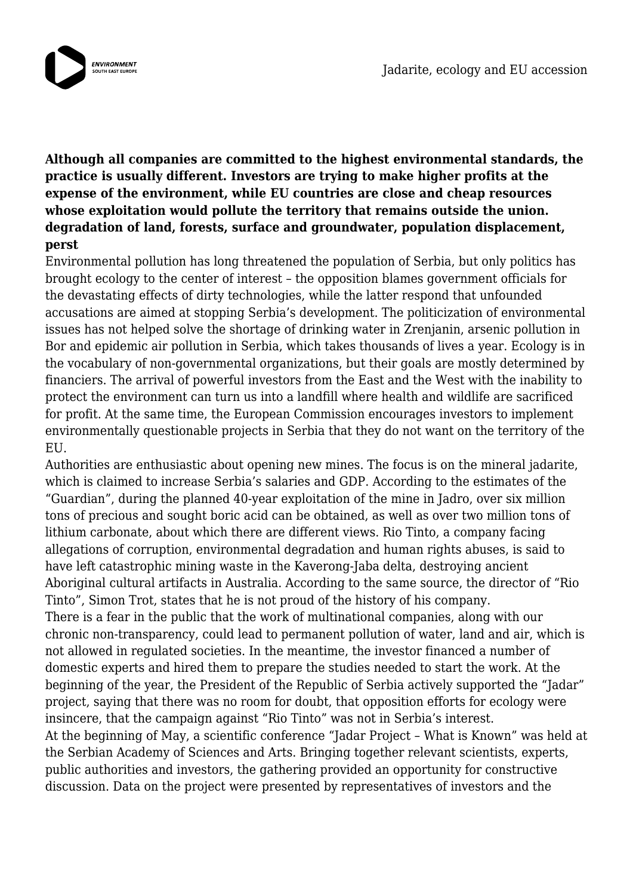

**Although all companies are committed to the highest environmental standards, the practice is usually different. Investors are trying to make higher profits at the expense of the environment, while EU countries are close and cheap resources whose exploitation would pollute the territory that remains outside the union. degradation of land, forests, surface and groundwater, population displacement, perst**

Environmental pollution has long threatened the population of Serbia, but only politics has brought ecology to the center of interest – the opposition blames government officials for the devastating effects of dirty technologies, while the latter respond that unfounded accusations are aimed at stopping Serbia's development. The politicization of environmental issues has not helped solve the shortage of drinking water in Zrenjanin, arsenic pollution in Bor and epidemic air pollution in Serbia, which takes thousands of lives a year. Ecology is in the vocabulary of non-governmental organizations, but their goals are mostly determined by financiers. The arrival of powerful investors from the East and the West with the inability to protect the environment can turn us into a landfill where health and wildlife are sacrificed for profit. At the same time, the European Commission encourages investors to implement environmentally questionable projects in Serbia that they do not want on the territory of the EU.

Authorities are enthusiastic about opening new mines. The focus is on the mineral jadarite, which is claimed to increase Serbia's salaries and GDP. According to the estimates of the "Guardian", during the planned 40-year exploitation of the mine in Jadro, over six million tons of precious and sought boric acid can be obtained, as well as over two million tons of lithium carbonate, about which there are different views. Rio Tinto, a company facing allegations of corruption, environmental degradation and human rights abuses, is said to have left catastrophic mining waste in the Kaverong-Jaba delta, destroying ancient Aboriginal cultural artifacts in Australia. According to the same source, the director of "Rio Tinto", Simon Trot, states that he is not proud of the history of his company. There is a fear in the public that the work of multinational companies, along with our chronic non-transparency, could lead to permanent pollution of water, land and air, which is not allowed in regulated societies. In the meantime, the investor financed a number of domestic experts and hired them to prepare the studies needed to start the work. At the beginning of the year, the President of the Republic of Serbia actively supported the "Jadar" project, saying that there was no room for doubt, that opposition efforts for ecology were insincere, that the campaign against "Rio Tinto" was not in Serbia's interest. At the beginning of May, a scientific conference "Jadar Project – What is Known" was held at the Serbian Academy of Sciences and Arts. Bringing together relevant scientists, experts, public authorities and investors, the gathering provided an opportunity for constructive discussion. Data on the project were presented by representatives of investors and the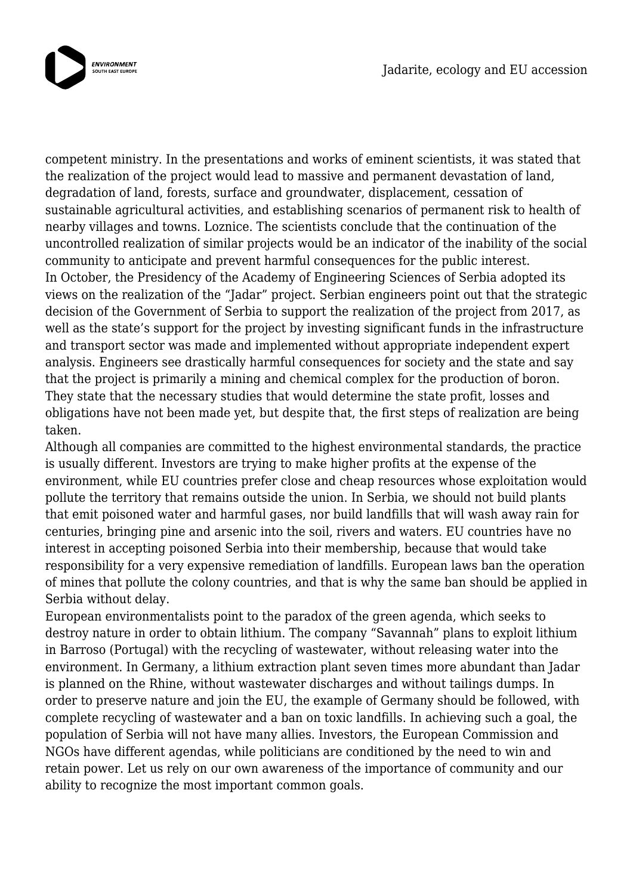

competent ministry. In the presentations and works of eminent scientists, it was stated that the realization of the project would lead to massive and permanent devastation of land, degradation of land, forests, surface and groundwater, displacement, cessation of sustainable agricultural activities, and establishing scenarios of permanent risk to health of nearby villages and towns. Loznice. The scientists conclude that the continuation of the uncontrolled realization of similar projects would be an indicator of the inability of the social community to anticipate and prevent harmful consequences for the public interest. In October, the Presidency of the Academy of Engineering Sciences of Serbia adopted its views on the realization of the "Jadar" project. Serbian engineers point out that the strategic decision of the Government of Serbia to support the realization of the project from 2017, as well as the state's support for the project by investing significant funds in the infrastructure and transport sector was made and implemented without appropriate independent expert analysis. Engineers see drastically harmful consequences for society and the state and say that the project is primarily a mining and chemical complex for the production of boron. They state that the necessary studies that would determine the state profit, losses and obligations have not been made yet, but despite that, the first steps of realization are being taken.

Although all companies are committed to the highest environmental standards, the practice is usually different. Investors are trying to make higher profits at the expense of the environment, while EU countries prefer close and cheap resources whose exploitation would pollute the territory that remains outside the union. In Serbia, we should not build plants that emit poisoned water and harmful gases, nor build landfills that will wash away rain for centuries, bringing pine and arsenic into the soil, rivers and waters. EU countries have no interest in accepting poisoned Serbia into their membership, because that would take responsibility for a very expensive remediation of landfills. European laws ban the operation of mines that pollute the colony countries, and that is why the same ban should be applied in Serbia without delay.

European environmentalists point to the paradox of the green agenda, which seeks to destroy nature in order to obtain lithium. The company "Savannah" plans to exploit lithium in Barroso (Portugal) with the recycling of wastewater, without releasing water into the environment. In Germany, a lithium extraction plant seven times more abundant than Jadar is planned on the Rhine, without wastewater discharges and without tailings dumps. In order to preserve nature and join the EU, the example of Germany should be followed, with complete recycling of wastewater and a ban on toxic landfills. In achieving such a goal, the population of Serbia will not have many allies. Investors, the European Commission and NGOs have different agendas, while politicians are conditioned by the need to win and retain power. Let us rely on our own awareness of the importance of community and our ability to recognize the most important common goals.